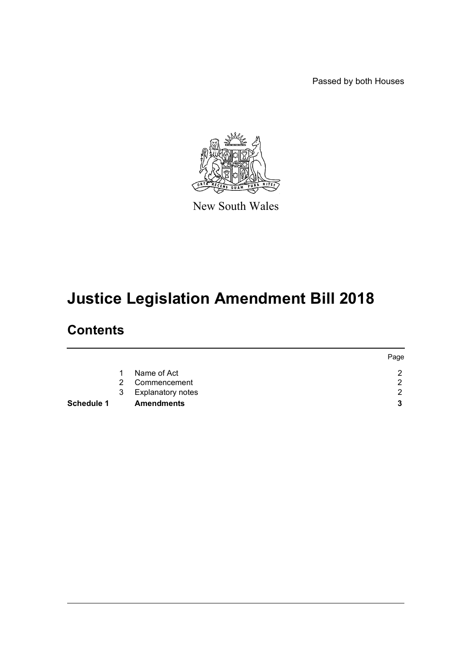Passed by both Houses



New South Wales

# **Justice Legislation Amendment Bill 2018**

# **Contents**

|            |   |                          | Page |
|------------|---|--------------------------|------|
|            |   | Name of Act              | ⌒    |
|            | 2 | Commencement             | റ    |
|            | 3 | <b>Explanatory notes</b> | ົ    |
| Schedule 1 |   | <b>Amendments</b>        | 2    |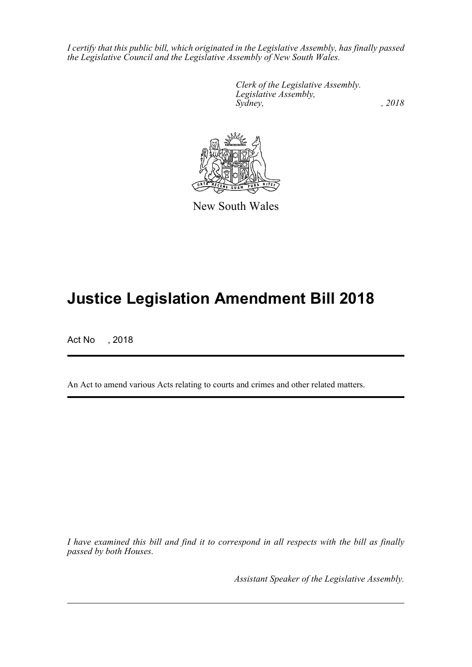*I certify that this public bill, which originated in the Legislative Assembly, has finally passed the Legislative Council and the Legislative Assembly of New South Wales.*

> *Clerk of the Legislative Assembly. Legislative Assembly, Sydney, , 2018*



New South Wales

# **Justice Legislation Amendment Bill 2018**

Act No , 2018

An Act to amend various Acts relating to courts and crimes and other related matters.

*I have examined this bill and find it to correspond in all respects with the bill as finally passed by both Houses.*

*Assistant Speaker of the Legislative Assembly.*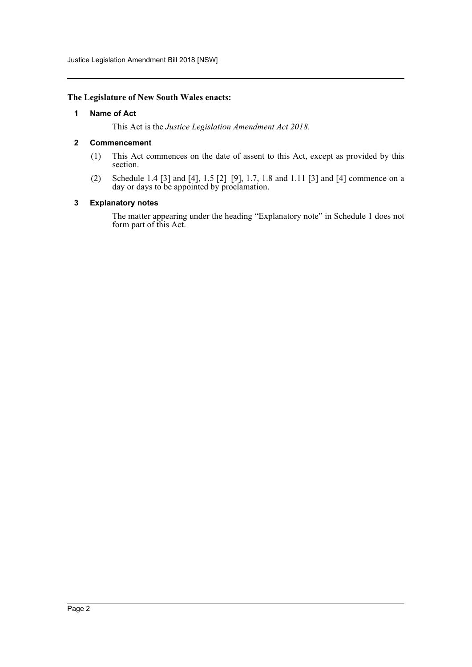Justice Legislation Amendment Bill 2018 [NSW]

## <span id="page-2-0"></span>**The Legislature of New South Wales enacts:**

## **1 Name of Act**

This Act is the *Justice Legislation Amendment Act 2018*.

# <span id="page-2-1"></span>**2 Commencement**

- (1) This Act commences on the date of assent to this Act, except as provided by this section.
- (2) Schedule 1.4 [3] and [4], 1.5 [2]–[9], 1.7, 1.8 and 1.11 [3] and [4] commence on a day or days to be appointed by proclamation.

## <span id="page-2-2"></span>**3 Explanatory notes**

The matter appearing under the heading "Explanatory note" in Schedule 1 does not form part of this Act.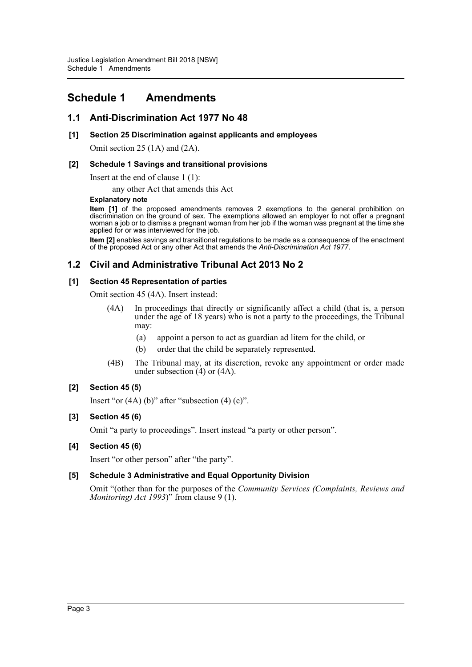# <span id="page-3-0"></span>**Schedule 1 Amendments**

# **1.1 Anti-Discrimination Act 1977 No 48**

# **[1] Section 25 Discrimination against applicants and employees**

Omit section 25 (1A) and (2A).

# **[2] Schedule 1 Savings and transitional provisions**

Insert at the end of clause 1 (1):

any other Act that amends this Act

## **Explanatory note**

**Item [1]** of the proposed amendments removes 2 exemptions to the general prohibition on discrimination on the ground of sex. The exemptions allowed an employer to not offer a pregnant woman a job or to dismiss a pregnant woman from her job if the woman was pregnant at the time she applied for or was interviewed for the job.

**Item [2]** enables savings and transitional regulations to be made as a consequence of the enactment of the proposed Act or any other Act that amends the *Anti-Discrimination Act 1977*.

# **1.2 Civil and Administrative Tribunal Act 2013 No 2**

# **[1] Section 45 Representation of parties**

Omit section 45 (4A). Insert instead:

- (4A) In proceedings that directly or significantly affect a child (that is, a person under the age of 18 years) who is not a party to the proceedings, the Tribunal may:
	- (a) appoint a person to act as guardian ad litem for the child, or
	- (b) order that the child be separately represented.
- (4B) The Tribunal may, at its discretion, revoke any appointment or order made under subsection (4) or (4A).

# **[2] Section 45 (5)**

Insert "or  $(4A)$  (b)" after "subsection  $(4)$  (c)".

# **[3] Section 45 (6)**

Omit "a party to proceedings". Insert instead "a party or other person".

# **[4] Section 45 (6)**

Insert "or other person" after "the party".

# **[5] Schedule 3 Administrative and Equal Opportunity Division**

Omit "(other than for the purposes of the *Community Services (Complaints, Reviews and Monitoring) Act 1993*)" from clause 9 (1).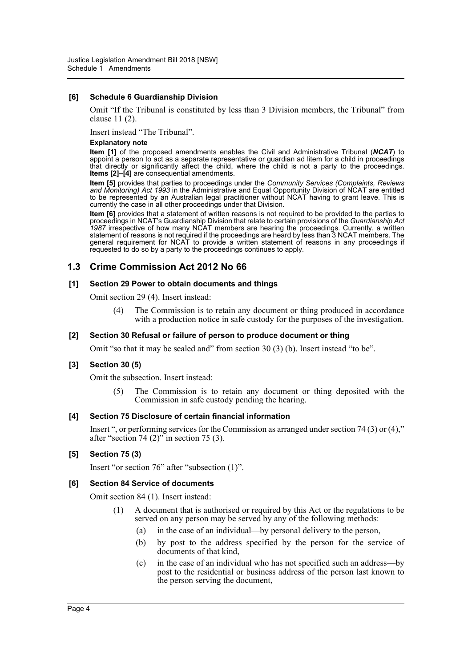# **[6] Schedule 6 Guardianship Division**

Omit "If the Tribunal is constituted by less than 3 Division members, the Tribunal" from clause 11 (2).

Insert instead "The Tribunal".

#### **Explanatory note**

**Item [1]** of the proposed amendments enables the Civil and Administrative Tribunal (*NCAT*) to appoint a person to act as a separate representative or guardian ad litem for a child in proceedings that directly or significantly affect the child, where the child is not a party to the proceedings. **Items [2]-[4]** are consequential amendments.

**Item [5]** provides that parties to proceedings under the *Community Services (Complaints, Reviews and Monitoring) Act 1993* in the Administrative and Equal Opportunity Division of NCAT are entitled to be represented by an Australian legal practitioner without NCAT having to grant leave. This is currently the case in all other proceedings under that Division.

**Item [6]** provides that a statement of written reasons is not required to be provided to the parties to proceedings in NCAT's Guardianship Division that relate to certain provisions of the *Guardianship Act 1987* irrespective of how many NCAT members are hearing the proceedings. Currently, a written statement of reasons is not required if the proceedings are heard by less than 3 NCAT members. The general requirement for NCAT to provide a written statement of reasons in any proceedings if requested to do so by a party to the proceedings continues to apply.

# **1.3 Crime Commission Act 2012 No 66**

# **[1] Section 29 Power to obtain documents and things**

Omit section 29 (4). Insert instead:

(4) The Commission is to retain any document or thing produced in accordance with a production notice in safe custody for the purposes of the investigation.

# **[2] Section 30 Refusal or failure of person to produce document or thing**

Omit "so that it may be sealed and" from section 30 (3) (b). Insert instead "to be".

# **[3] Section 30 (5)**

Omit the subsection. Insert instead:

(5) The Commission is to retain any document or thing deposited with the Commission in safe custody pending the hearing.

#### **[4] Section 75 Disclosure of certain financial information**

Insert ", or performing services for the Commission as arranged under section 74 (3) or (4)," after "section 74 (2)" in section 75 (3).

# **[5] Section 75 (3)**

Insert "or section 76" after "subsection (1)".

# **[6] Section 84 Service of documents**

Omit section 84 (1). Insert instead:

- (1) A document that is authorised or required by this Act or the regulations to be served on any person may be served by any of the following methods:
	- (a) in the case of an individual—by personal delivery to the person,
	- (b) by post to the address specified by the person for the service of documents of that kind,
	- (c) in the case of an individual who has not specified such an address—by post to the residential or business address of the person last known to the person serving the document,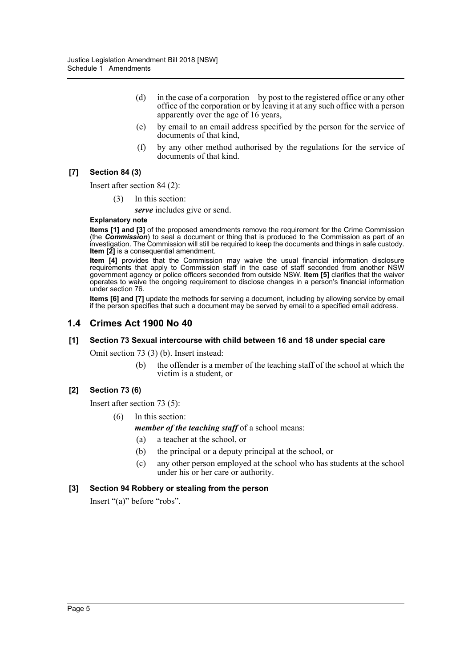- (d) in the case of a corporation—by post to the registered office or any other office of the corporation or by leaving it at any such office with a person apparently over the age of 16 years,
- (e) by email to an email address specified by the person for the service of documents of that kind,
- (f) by any other method authorised by the regulations for the service of documents of that kind.

# **[7] Section 84 (3)**

Insert after section 84 (2):

(3) In this section:

*serve* includes give or send.

### **Explanatory note**

**Items [1] and [3]** of the proposed amendments remove the requirement for the Crime Commission (the *Commission*) to seal a document or thing that is produced to the Commission as part of an investigation. The Commission will still be required to keep the documents and things in safe custody. **Item [2]** is a consequential amendment.

**Item [4]** provides that the Commission may waive the usual financial information disclosure requirements that apply to Commission staff in the case of staff seconded from another NSW government agency or police officers seconded from outside NSW. **Item [5]** clarifies that the waiver operates to waive the ongoing requirement to disclose changes in a person's financial information under section 76.

**Items [6] and [7]** update the methods for serving a document, including by allowing service by email if the person specifies that such a document may be served by email to a specified email address.

# **1.4 Crimes Act 1900 No 40**

# **[1] Section 73 Sexual intercourse with child between 16 and 18 under special care**

Omit section 73 (3) (b). Insert instead:

(b) the offender is a member of the teaching staff of the school at which the victim is a student, or

# **[2] Section 73 (6)**

Insert after section 73 (5):

- (6) In this section:
	- *member of the teaching staff* of a school means:
	- (a) a teacher at the school, or
	- (b) the principal or a deputy principal at the school, or
	- (c) any other person employed at the school who has students at the school under his or her care or authority.

# **[3] Section 94 Robbery or stealing from the person**

Insert "(a)" before "robs".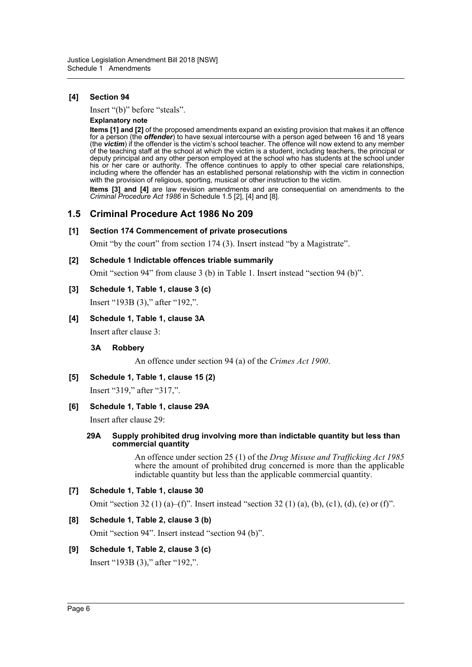# **[4] Section 94**

Insert "(b)" before "steals".

#### **Explanatory note**

**Items [1] and [2]** of the proposed amendments expand an existing provision that makes it an offence for a person (the *offender*) to have sexual intercourse with a person aged between 16 and 18 years (the *victim*) if the offender is the victim's school teacher. The offence will now extend to any member of the teaching staff at the school at which the victim is a student, including teachers, the principal or deputy principal and any other person employed at the school who has students at the school under his or her care or authority. The offence continues to apply to other special care relationships, including where the offender has an established personal relationship with the victim in connection with the provision of religious, sporting, musical or other instruction to the victim.

**Items [3] and [4]** are law revision amendments and are consequential on amendments to the *Criminal Procedure Act 1986* in Schedule 1.5 [2], [4] and [8].

# **1.5 Criminal Procedure Act 1986 No 209**

#### **[1] Section 174 Commencement of private prosecutions**

Omit "by the court" from section 174 (3). Insert instead "by a Magistrate".

## **[2] Schedule 1 Indictable offences triable summarily**

Omit "section 94" from clause 3 (b) in Table 1. Insert instead "section 94 (b)".

# **[3] Schedule 1, Table 1, clause 3 (c)**

Insert "193B (3)," after "192,".

# **[4] Schedule 1, Table 1, clause 3A**

Insert after clause 3:

#### **3A Robbery**

An offence under section 94 (a) of the *Crimes Act 1900*.

# **[5] Schedule 1, Table 1, clause 15 (2)**

Insert "319," after "317,".

# **[6] Schedule 1, Table 1, clause 29A**

Insert after clause 29:

#### **29A Supply prohibited drug involving more than indictable quantity but less than commercial quantity**

An offence under section 25 (1) of the *Drug Misuse and Trafficking Act 1985* where the amount of prohibited drug concerned is more than the applicable indictable quantity but less than the applicable commercial quantity.

# **[7] Schedule 1, Table 1, clause 30** Omit "section 32 (1) (a)–(f)". Insert instead "section 32 (1) (a), (b), (c1), (d), (e) or (f)".

# **[8] Schedule 1, Table 2, clause 3 (b)**

Omit "section 94". Insert instead "section 94 (b)".

# **[9] Schedule 1, Table 2, clause 3 (c)**

Insert "193B (3)," after "192,".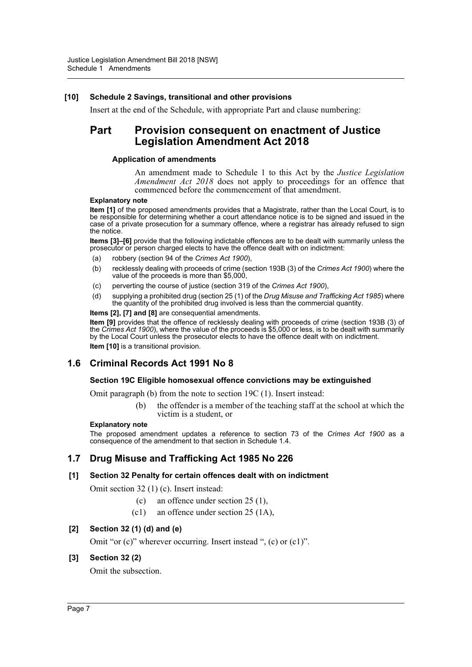# **[10] Schedule 2 Savings, transitional and other provisions**

Insert at the end of the Schedule, with appropriate Part and clause numbering:

# **Part Provision consequent on enactment of Justice Legislation Amendment Act 2018**

# **Application of amendments**

An amendment made to Schedule 1 to this Act by the *Justice Legislation Amendment Act 2018* does not apply to proceedings for an offence that commenced before the commencement of that amendment.

## **Explanatory note**

**Item [1]** of the proposed amendments provides that a Magistrate, rather than the Local Court, is to be responsible for determining whether a court attendance notice is to be signed and issued in the case of a private prosecution for a summary offence, where a registrar has already refused to sign the notice.

**Items [3]–[6]** provide that the following indictable offences are to be dealt with summarily unless the prosecutor or person charged elects to have the offence dealt with on indictment:

- (a) robbery (section 94 of the *Crimes Act 1900*),
- (b) recklessly dealing with proceeds of crime (section 193B (3) of the *Crimes Act 1900*) where the value of the proceeds is more than \$5,000,
- (c) perverting the course of justice (section 319 of the *Crimes Act 1900*),
- (d) supplying a prohibited drug (section 25 (1) of the *Drug Misuse and Trafficking Act 1985*) where the quantity of the prohibited drug involved is less than the commercial quantity.
- **Items [2], [7] and [8]** are consequential amendments.

**Item [9]** provides that the offence of recklessly dealing with proceeds of crime (section 193B (3) of the *Crimes Act 1900*), where the value of the proceeds is \$5,000 or less, is to be dealt with summarily by the Local Court unless the prosecutor elects to have the offence dealt with on indictment. **Item [10]** is a transitional provision.

# **1.6 Criminal Records Act 1991 No 8**

# **Section 19C Eligible homosexual offence convictions may be extinguished**

Omit paragraph (b) from the note to section 19C (1). Insert instead:

(b) the offender is a member of the teaching staff at the school at which the victim is a student, or

# **Explanatory note**

The proposed amendment updates a reference to section 73 of the *Crimes Act 1900* as a consequence of the amendment to that section in Schedule 1.4.

# **1.7 Drug Misuse and Trafficking Act 1985 No 226**

# **[1] Section 32 Penalty for certain offences dealt with on indictment**

Omit section 32 (1) (c). Insert instead:

- (c) an offence under section 25 (1),
- (c1) an offence under section 25 (1A),

# **[2] Section 32 (1) (d) and (e)**

Omit "or (c)" wherever occurring. Insert instead ", (c) or (c1)".

# **[3] Section 32 (2)**

Omit the subsection.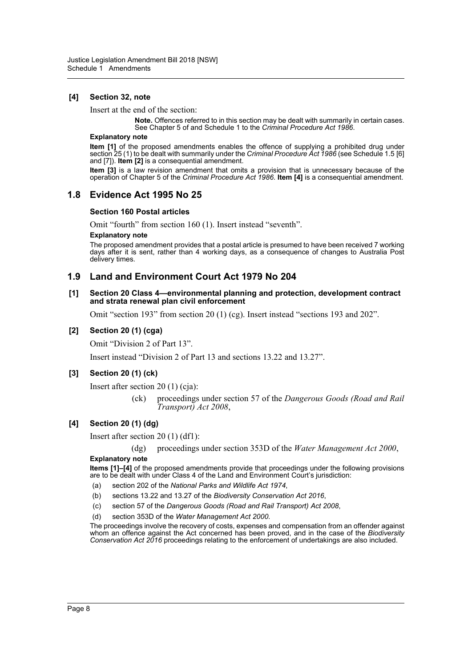# **[4] Section 32, note**

Insert at the end of the section:

**Note.** Offences referred to in this section may be dealt with summarily in certain cases. See Chapter 5 of and Schedule 1 to the *Criminal Procedure Act 1986*.

#### **Explanatory note**

**Item [1]** of the proposed amendments enables the offence of supplying a prohibited drug under section 25 (1) to be dealt with summarily under the *Criminal Procedure Act 1986* (see Schedule 1.5 [6] and [7]). **Item [2]** is a consequential amendment.

**Item [3]** is a law revision amendment that omits a provision that is unnecessary because of the operation of Chapter 5 of the *Criminal Procedure Act 1986*. **Item [4]** is a consequential amendment.

# **1.8 Evidence Act 1995 No 25**

## **Section 160 Postal articles**

Omit "fourth" from section 160 (1). Insert instead "seventh".

#### **Explanatory note**

The proposed amendment provides that a postal article is presumed to have been received 7 working days after it is sent, rather than 4 working days, as a consequence of changes to Australia Post delivery times.

# **1.9 Land and Environment Court Act 1979 No 204**

#### **[1] Section 20 Class 4—environmental planning and protection, development contract and strata renewal plan civil enforcement**

Omit "section 193" from section 20 (1) (cg). Insert instead "sections 193 and 202".

## **[2] Section 20 (1) (cga)**

Omit "Division 2 of Part 13".

Insert instead "Division 2 of Part 13 and sections 13.22 and 13.27".

# **[3] Section 20 (1) (ck)**

Insert after section 20 (1) (cja):

(ck) proceedings under section 57 of the *Dangerous Goods (Road and Rail Transport) Act 2008*,

# **[4] Section 20 (1) (dg)**

Insert after section 20 (1) (df1):

(dg) proceedings under section 353D of the *Water Management Act 2000*,

#### **Explanatory note**

**Items [1]–[4]** of the proposed amendments provide that proceedings under the following provisions are to be dealt with under Class 4 of the Land and Environment Court's jurisdiction:

- (a) section 202 of the *National Parks and Wildlife Act 1974*,
- (b) sections 13.22 and 13.27 of the *Biodiversity Conservation Act 2016*,
- (c) section 57 of the *Dangerous Goods (Road and Rail Transport) Act 2008*,
- (d) section 353D of the *Water Management Act 2000*.

The proceedings involve the recovery of costs, expenses and compensation from an offender against whom an offence against the Act concerned has been proved, and in the case of the *Biodiversity Conservation Act 2016* proceedings relating to the enforcement of undertakings are also included.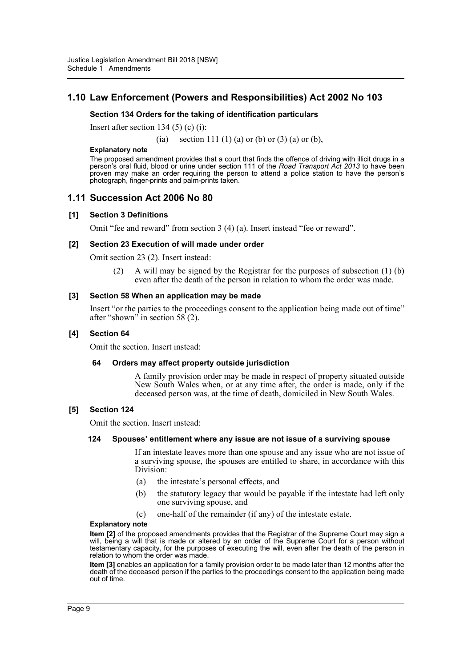# **1.10 Law Enforcement (Powers and Responsibilities) Act 2002 No 103**

# **Section 134 Orders for the taking of identification particulars**

Insert after section 134 (5) (c) (i):

(ia) section 111 (1) (a) or (b) or (3) (a) or (b),

#### **Explanatory note**

The proposed amendment provides that a court that finds the offence of driving with illicit drugs in a person's oral fluid, blood or urine under section 111 of the *Road Transport Act 2013* to have been proven may make an order requiring the person to attend a police station to have the person's photograph, finger-prints and palm-prints taken.

# **1.11 Succession Act 2006 No 80**

#### **[1] Section 3 Definitions**

Omit "fee and reward" from section 3 (4) (a). Insert instead "fee or reward".

## **[2] Section 23 Execution of will made under order**

Omit section 23 (2). Insert instead:

(2) A will may be signed by the Registrar for the purposes of subsection (1) (b) even after the death of the person in relation to whom the order was made.

#### **[3] Section 58 When an application may be made**

Insert "or the parties to the proceedings consent to the application being made out of time" after "shown" in section 58 (2).

### **[4] Section 64**

Omit the section. Insert instead:

#### **64 Orders may affect property outside jurisdiction**

A family provision order may be made in respect of property situated outside New South Wales when, or at any time after, the order is made, only if the deceased person was, at the time of death, domiciled in New South Wales.

#### **[5] Section 124**

Omit the section. Insert instead:

#### **124 Spouses' entitlement where any issue are not issue of a surviving spouse**

If an intestate leaves more than one spouse and any issue who are not issue of a surviving spouse, the spouses are entitled to share, in accordance with this Division:

- (a) the intestate's personal effects, and
- (b) the statutory legacy that would be payable if the intestate had left only one surviving spouse, and
- (c) one-half of the remainder (if any) of the intestate estate.

#### **Explanatory note**

**Item [2]** of the proposed amendments provides that the Registrar of the Supreme Court may sign a will, being a will that is made or altered by an order of the Supreme Court for a person without testamentary capacity, for the purposes of executing the will, even after the death of the person in relation to whom the order was made.

**Item [3]** enables an application for a family provision order to be made later than 12 months after the death of the deceased person if the parties to the proceedings consent to the application being made out of time.